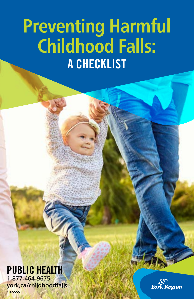# **Preventing Harmful Childhood Falls:** A CHECKLIST

PUBLIC HEALTH 1-877-464-9675 york.ca/childhoodfalls 19-5555

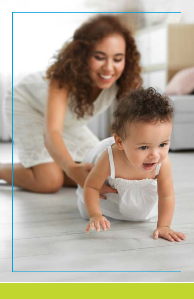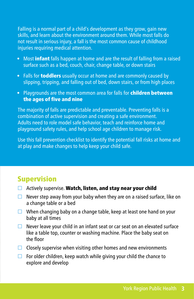Falling is a normal part of a child's development as they grow, gain new skills, and learn about the environment around them. While most falls do not result in serious injury, a fall is the most common cause of childhood injuries requiring medical attention.

- **•** Most infant falls happen at home and are the result of falling from a raised surface such as a bed, couch, chair, change table, or down stairs
- **•** Falls for toddlers usually occur at home and are commonly caused by slipping, tripping, and falling out of bed, down stairs, or from high places
- **•** Playgrounds are the most common area for falls for children between the ages of five and nine

The majority of falls are predictable and preventable. Preventing falls is a combination of active supervision and creating a safe environment. Adults need to role model safe behavior, teach and reinforce home and playground safety rules, and help school age children to manage risk.

Use this fall prevention checklist to identify the potential fall risks at home and at play and make changes to help keep your child safe.

#### Supervision

- $\Box$  Actively supervise. Watch, listen, and stay near your child
- $\Box$  Never step away from your baby when they are on a raised surface, like on a change table or a bed
- $\Box$  When changing baby on a change table, keep at least one hand on your baby at all times
- $\Box$  Never leave your child in an infant seat or car seat on an elevated surface like a table top, counter or washing machine. Place the baby seat on the floor
- $\Box$  Closely supervise when visiting other homes and new environments
- $\Box$  For older children, keep watch while giving your child the chance to explore and develop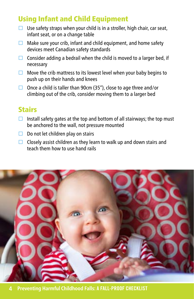# Using Infant and Child Equipment

- $\Box$  Use safety straps when your child is in a stroller, high chair, car seat, infant seat, or on a change table
- $\Box$  Make sure your crib, infant and child equipment, and home safety devices meet Canadian safety standards
- $\Box$  Consider adding a bedrail when the child is moved to a larger bed, if necessary
- $\Box$  Move the crib mattress to its lowest level when your baby begins to push up on their hands and knees
- $\Box$  Once a child is taller than 90cm (35"), close to age three and/or climbing out of the crib, consider moving them to a larger bed

# Stairs

- $\Box$  Install safety gates at the top and bottom of all stairways; the top must be anchored to the wall, not pressure mounted
- $\Box$  Do not let children play on stairs
- $\Box$  Closely assist children as they learn to walk up and down stairs and teach them how to use hand rails

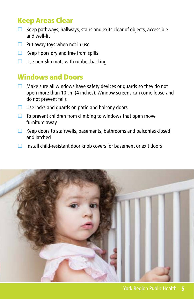## Keep Areas Clear

- $\Box$  Keep pathways, hallways, stairs and exits clear of objects, accessible and well-lit
- $\Box$  Put away toys when not in use
- $\Box$  Keep floors dry and free from spills
- $\Box$  Use non-slip mats with rubber backing

# Windows and Doors

- $\Box$  Make sure all windows have safety devices or guards so they do not open more than 10 cm (4 inches). Window screens can come loose and do not prevent falls
- $\Box$  Use locks and guards on patio and balcony doors
- $\Box$  To prevent children from climbing to windows that open move furniture away
- $\Box$  Keep doors to stairwells, basements, bathrooms and balconies closed and latched
- $\Box$  Install child-resistant door knob covers for basement or exit doors

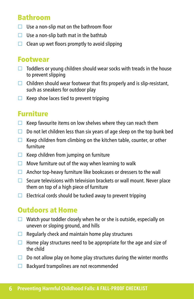## Bathroom

- $\Box$  Use a non-slip mat on the bathroom floor
- $\Box$  Use a non-slip bath mat in the bathtub
- $\Box$  Clean up wet floors promptly to avoid slipping

#### Footwear

- $\Box$  Toddlers or young children should wear socks with treads in the house to prevent slipping
- $\Box$  Children should wear footwear that fits properly and is slip-resistant, such as sneakers for outdoor play
- $\Box$  Keep shoe laces tied to prevent tripping

#### Furniture

- $\Box$  Keep favourite items on low shelves where they can reach them
- $\square$  Do not let children less than six years of age sleep on the top bunk bed
- $\Box$  Keep children from climbing on the kitchen table, counter, or other furniture
- $\Box$  Keep children from jumping on furniture
- $\Box$  Move furniture out of the way when learning to walk
- $\Box$  Anchor top-heavy furniture like bookcases or dressers to the wall
- $\Box$  Secure televisions with television brackets or wall mount. Never place them on top of a high piece of furniture
- $\Box$  Electrical cords should be tucked away to prevent tripping

# Outdoors at Home

- $\Box$  Watch your toddler closely when he or she is outside, especially on uneven or sloping ground, and hills
- $\Box$  Regularly check and maintain home play structures
- $\Box$  Home play structures need to be appropriate for the age and size of the child
- $\square$  Do not allow play on home play structures during the winter months
- $\Box$  Backyard trampolines are not recommended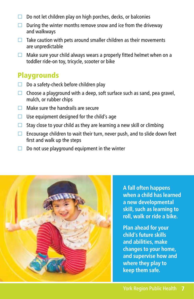- $\square$  Do not let children play on high porches, decks, or balconies
- $\Box$  During the winter months remove snow and ice from the driveway and walkways
- $\Box$  Take caution with pets around smaller children as their movements are unpredictable
- $\Box$  Make sure your child always wears a properly fitted helmet when on a toddler ride-on toy, tricycle, scooter or bike

#### Playgrounds

- $\Box$  Do a safety-check before children play
- $\Box$  Choose a playground with a deep, soft surface such as sand, pea gravel, mulch, or rubber chips
- $\Box$  Make sure the handrails are secure
- $\Box$  Use equipment designed for the child's age
- $\Box$  Stay close to your child as they are learning a new skill or climbing
- $\Box$  Encourage children to wait their turn, never push, and to slide down feet first and walk up the steps
- $\Box$  Do not use playground equipment in the winter



**A fall often happens when a child has learned a new developmental skill, such as learning to roll, walk or ride a bike.**

**Plan ahead for your child's future skills and abilities, make changes to your home, and supervise how and where they play to keep them safe.**